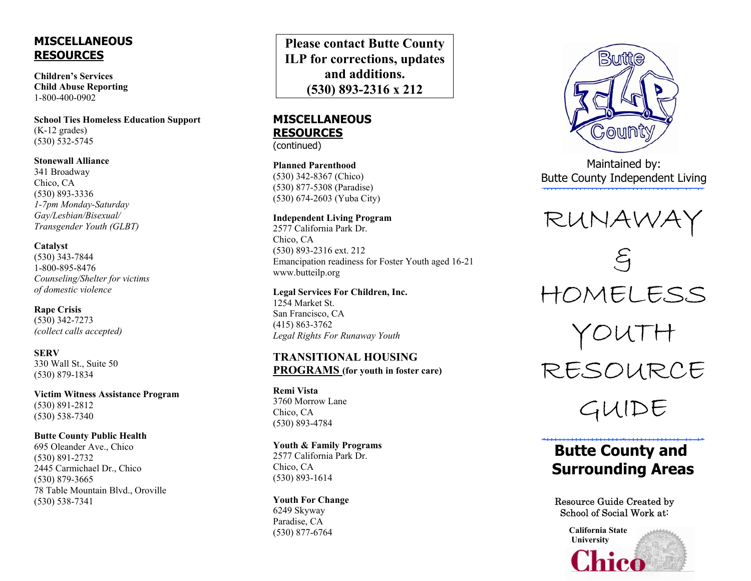# **MISCELLANEOUS RESOURCES**

**Children's Services Child Abuse Reporting** 1-800-400-0902

**School Ties Homeless Education Support**  (K-12 grades) (530) 532-5745

#### **Stonewall Alliance**

341 Broadway Chico, CA (530) 893-3336 *1-7pm Monday-Saturday Gay/Lesbian/Bisexual/ Transgender Youth (GLBT)* 

#### **Catalyst**

(530) 343-7844 1-800-895-8476 *Counseling/Shelter for victims of domestic violence* 

**Rape Crisis**  (530) 342-7273 *(collect calls accepted)* 

**SERV** 330 Wall St., Suite 50 (530) 879-1834

**Victim Witness Assistance Program**  (530) 891-2812 (530) 538-7340

# **Butte County Public Health**

695 Oleander Ave., Chico (530) 891-2732 2445 Carmichael Dr., Chico (530) 879-3665 78 Table Mountain Blvd., Oroville (530) 538-7341

**Please contact Butte County ILP for corrections, updates and additions. (530) 893-2316 x 212**

# **MISCELLANEOUS RESOURCES**

(continued)

**Planned Parenthood** (530) 342-8367 (Chico) (530) 877-5308 (Paradise) (530) 674-2603 (Yuba City)

#### **Independent Living Program**

2577 California Park Dr. Chico, CA (530) 893-2316 ext. 212 Emancipation readiness for Foster Youth aged 16-21 www.butteilp.org

#### **Legal Services For Children, Inc.**  1254 Market St.

San Francisco, CA (415) 863-3762 *Legal Rights For Runaway Youth* 

### **TRANSITIONAL HOUSING PROGRAMS (for youth in foster care)**

**Remi Vista** 3760 Morrow Lane Chico, CA (530) 893-4784

**Youth & Family Programs**  2577 California Park Dr. Chico, CA (530) 893-1614

#### **Youth For Change**  6249 Skyway Paradise, CA (530) 877-6764



Maintained by: Butte County Independent Living



# **Butte County and Surrounding Areas**

### Resource Guide Created by School of Social Work at:

**California State University**